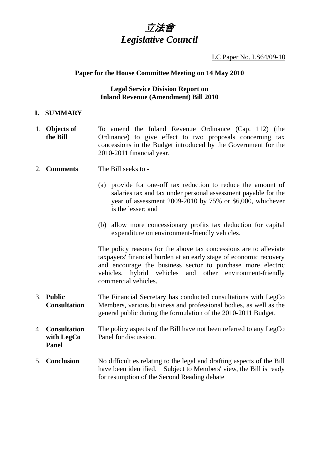# 立法會 *Legislative Council*

#### LC Paper No. LS64/09-10

## **Paper for the House Committee Meeting on 14 May 2010**

# **Legal Service Division Report on Inland Revenue (Amendment) Bill 2010**

## **I. SUMMARY**

- 1. **Objects of the Bill**  To amend the Inland Revenue Ordinance (Cap. 112) (the Ordinance) to give effect to two proposals concerning tax concessions in the Budget introduced by the Government for the 2010-2011 financial year.
- 2. **Comments** The Bill seeks to
	- (a) provide for one-off tax reduction to reduce the amount of salaries tax and tax under personal assessment payable for the year of assessment 2009-2010 by 75% or \$6,000, whichever is the lesser; and
	- (b) allow more concessionary profits tax deduction for capital expenditure on environment-friendly vehicles.

The policy reasons for the above tax concessions are to alleviate taxpayers' financial burden at an early stage of economic recovery and encourage the business sector to purchase more electric vehicles, hybrid vehicles and other environment-friendly commercial vehicles.

- 3. **Public Consultation**  The Financial Secretary has conducted consultations with LegCo Members, various business and professional bodies, as well as the general public during the formulation of the 2010-2011 Budget.
- 4. **Consultation with LegCo Panel**  The policy aspects of the Bill have not been referred to any LegCo Panel for discussion.
- 5. **Conclusion** No difficulties relating to the legal and drafting aspects of the Bill have been identified. Subject to Members' view, the Bill is ready for resumption of the Second Reading debate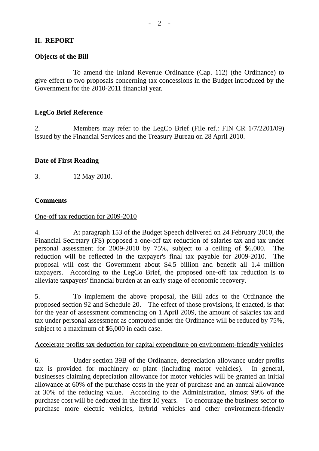# **II. REPORT**

# **Objects of the Bill**

 To amend the Inland Revenue Ordinance (Cap. 112) (the Ordinance) to give effect to two proposals concerning tax concessions in the Budget introduced by the Government for the 2010-2011 financial year.

# **LegCo Brief Reference**

2. Members may refer to the LegCo Brief (File ref.: FIN CR 1/7/2201/09) issued by the Financial Services and the Treasury Bureau on 28 April 2010.

#### **Date of First Reading**

3. 12 May 2010.

## **Comments**

## One-off tax reduction for 2009-2010

4. At paragraph 153 of the Budget Speech delivered on 24 February 2010, the Financial Secretary (FS) proposed a one-off tax reduction of salaries tax and tax under personal assessment for 2009-2010 by 75%, subject to a ceiling of \$6,000. The reduction will be reflected in the taxpayer's final tax payable for 2009-2010. The proposal will cost the Government about \$4.5 billion and benefit all 1.4 million taxpayers. According to the LegCo Brief, the proposed one-off tax reduction is to alleviate taxpayers' financial burden at an early stage of economic recovery.

5. To implement the above proposal, the Bill adds to the Ordinance the proposed section 92 and Schedule 20. The effect of those provisions, if enacted, is that for the year of assessment commencing on 1 April 2009, the amount of salaries tax and tax under personal assessment as computed under the Ordinance will be reduced by 75%, subject to a maximum of \$6,000 in each case.

#### Accelerate profits tax deduction for capital expenditure on environment-friendly vehicles

6. Under section 39B of the Ordinance, depreciation allowance under profits tax is provided for machinery or plant (including motor vehicles). In general, businesses claiming depreciation allowance for motor vehicles will be granted an initial allowance at 60% of the purchase costs in the year of purchase and an annual allowance at 30% of the reducing value. According to the Administration, almost 99% of the purchase cost will be deducted in the first 10 years. To encourage the business sector to purchase more electric vehicles, hybrid vehicles and other environment-friendly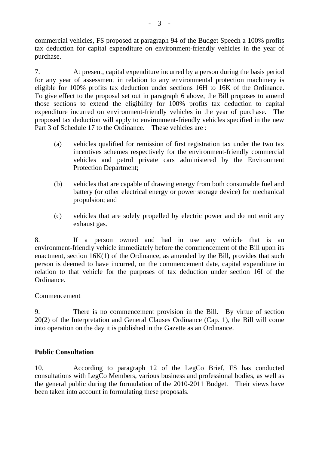commercial vehicles, FS proposed at paragraph 94 of the Budget Speech a 100% profits tax deduction for capital expenditure on environment-friendly vehicles in the year of purchase.

7. At present, capital expenditure incurred by a person during the basis period for any year of assessment in relation to any environmental protection machinery is eligible for 100% profits tax deduction under sections 16H to 16K of the Ordinance. To give effect to the proposal set out in paragraph 6 above, the Bill proposes to amend those sections to extend the eligibility for 100% profits tax deduction to capital expenditure incurred on environment-friendly vehicles in the year of purchase. The proposed tax deduction will apply to environment-friendly vehicles specified in the new Part 3 of Schedule 17 to the Ordinance. These vehicles are :

- (a) vehicles qualified for remission of first registration tax under the two tax incentives schemes respectively for the environment-friendly commercial vehicles and petrol private cars administered by the Environment Protection Department;
- (b) vehicles that are capable of drawing energy from both consumable fuel and battery (or other electrical energy or power storage device) for mechanical propulsion; and
- (c) vehicles that are solely propelled by electric power and do not emit any exhaust gas.

8. If a person owned and had in use any vehicle that is an environment-friendly vehicle immediately before the commencement of the Bill upon its enactment, section 16K(1) of the Ordinance, as amended by the Bill, provides that such person is deemed to have incurred, on the commencement date, capital expenditure in relation to that vehicle for the purposes of tax deduction under section 16I of the Ordinance.

# Commencement

9. There is no commencement provision in the Bill. By virtue of section 20(2) of the Interpretation and General Clauses Ordinance (Cap. 1), the Bill will come into operation on the day it is published in the Gazette as an Ordinance.

# **Public Consultation**

10. According to paragraph 12 of the LegCo Brief, FS has conducted consultations with LegCo Members, various business and professional bodies, as well as the general public during the formulation of the 2010-2011 Budget. Their views have been taken into account in formulating these proposals.